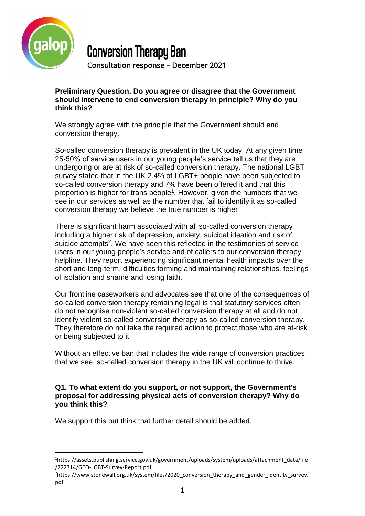

# Conversion Therapy Ban

Consultation response – December 2021

**Preliminary Question. Do you agree or disagree that the Government should intervene to end conversion therapy in principle? Why do you think this?**

We strongly agree with the principle that the Government should end conversion therapy.

So-called conversion therapy is prevalent in the UK today. At any given time 25-50% of service users in our young people's service tell us that they are undergoing or are at risk of so-called conversion therapy. The national LGBT survey stated that in the UK 2.4% of LGBT+ people have been subjected to so-called conversion therapy and 7% have been offered it and that this proportion is higher for trans people<sup>1</sup>. However, given the numbers that we see in our services as well as the number that fail to identify it as so-called conversion therapy we believe the true number is higher

There is significant harm associated with all so-called conversion therapy including a higher risk of depression, anxiety, suicidal ideation and risk of suicide attempts<sup>2</sup>. We have seen this reflected in the testimonies of service users in our young people's service and of callers to our conversion therapy helpline. They report experiencing significant mental health impacts over the short and long-term, difficulties forming and maintaining relationships, feelings of isolation and shame and losing faith.

Our frontline caseworkers and advocates see that one of the consequences of so-called conversion therapy remaining legal is that statutory services often do not recognise non-violent so-called conversion therapy at all and do not identify violent so-called conversion therapy as so-called conversion therapy. They therefore do not take the required action to protect those who are at-risk or being subjected to it.

Without an effective ban that includes the wide range of conversion practices that we see, so-called conversion therapy in the UK will continue to thrive.

### **Q1. To what extent do you support, or not support, the Government's proposal for addressing physical acts of conversion therapy? Why do you think this?**

We support this but think that further detail should be added.

l <sup>1</sup>https://assets.publishing.service.gov.uk/government/uploads/system/uploads/attachment\_data/file /722314/GEO-LGBT-Survey-Report.pdf

<sup>&</sup>lt;sup>2</sup>https://www.stonewall.org.uk/system/files/2020\_conversion\_therapy\_and\_gender\_identity\_survey. pdf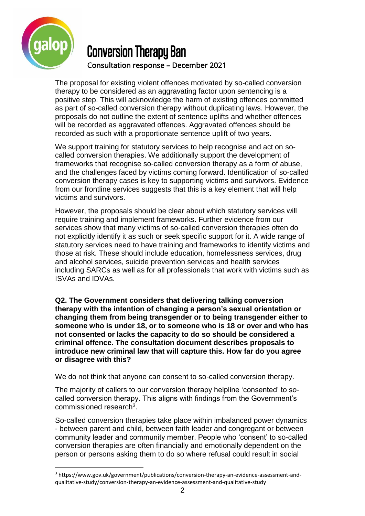

l

### Conversion Therapy Ban Consultation response – December 2021

The proposal for existing violent offences motivated by so-called conversion therapy to be considered as an aggravating factor upon sentencing is a positive step. This will acknowledge the harm of existing offences committed as part of so-called conversion therapy without duplicating laws. However, the proposals do not outline the extent of sentence uplifts and whether offences will be recorded as aggravated offences. Aggravated offences should be recorded as such with a proportionate sentence uplift of two years.

We support training for statutory services to help recognise and act on socalled conversion therapies. We additionally support the development of frameworks that recognise so-called conversion therapy as a form of abuse, and the challenges faced by victims coming forward. Identification of so-called conversion therapy cases is key to supporting victims and survivors. Evidence from our frontline services suggests that this is a key element that will help victims and survivors.

However, the proposals should be clear about which statutory services will require training and implement frameworks. Further evidence from our services show that many victims of so-called conversion therapies often do not explicitly identify it as such or seek specific support for it. A wide range of statutory services need to have training and frameworks to identify victims and those at risk. These should include education, homelessness services, drug and alcohol services, suicide prevention services and health services including SARCs as well as for all professionals that work with victims such as ISVAs and IDVAs.

**Q2. The Government considers that delivering talking conversion therapy with the intention of changing a person's sexual orientation or changing them from being transgender or to being transgender either to someone who is under 18, or to someone who is 18 or over and who has not consented or lacks the capacity to do so should be considered a criminal offence. The consultation document describes proposals to introduce new criminal law that will capture this. How far do you agree or disagree with this?** 

We do not think that anyone can consent to so-called conversion therapy.

The majority of callers to our conversion therapy helpline 'consented' to socalled conversion therapy. This aligns with findings from the Government's commissioned research<sup>3</sup>.

So-called conversion therapies take place within imbalanced power dynamics - between parent and child, between faith leader and congregant or between community leader and community member. People who 'consent' to so-called conversion therapies are often financially and emotionally dependent on the person or persons asking them to do so where refusal could result in social

<sup>3</sup> https://www.gov.uk/government/publications/conversion-therapy-an-evidence-assessment-andqualitative-study/conversion-therapy-an-evidence-assessment-and-qualitative-study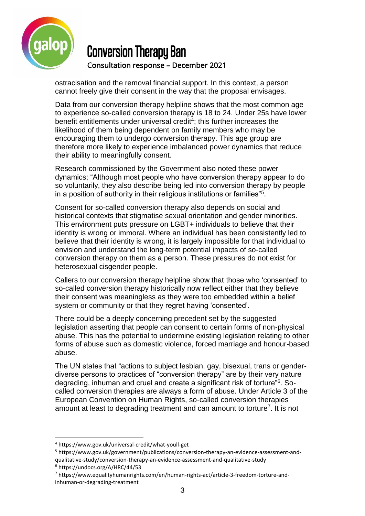

ostracisation and the removal financial support. In this context, a person cannot freely give their consent in the way that the proposal envisages.

Data from our conversion therapy helpline shows that the most common age to experience so-called conversion therapy is 18 to 24. Under 25s have lower benefit entitlements under universal credit<sup>4</sup>; this further increases the likelihood of them being dependent on family members who may be encouraging them to undergo conversion therapy. This age group are therefore more likely to experience imbalanced power dynamics that reduce their ability to meaningfully consent.

Research commissioned by the Government also noted these power dynamics; "Although most people who have conversion therapy appear to do so voluntarily, they also describe being led into conversion therapy by people in a position of authority in their religious institutions or families"<sup>5</sup>.

Consent for so-called conversion therapy also depends on social and historical contexts that stigmatise sexual orientation and gender minorities. This environment puts pressure on LGBT+ individuals to believe that their identity is wrong or immoral. Where an individual has been consistently led to believe that their identity is wrong, it is largely impossible for that individual to envision and understand the long-term potential impacts of so-called conversion therapy on them as a person. These pressures do not exist for heterosexual cisgender people.

Callers to our conversion therapy helpline show that those who 'consented' to so-called conversion therapy historically now reflect either that they believe their consent was meaningless as they were too embedded within a belief system or community or that they regret having 'consented'.

There could be a deeply concerning precedent set by the suggested legislation asserting that people can consent to certain forms of non-physical abuse. This has the potential to undermine existing legislation relating to other forms of abuse such as domestic violence, forced marriage and honour-based abuse.

The UN states that "actions to subject lesbian, gay, bisexual, trans or genderdiverse persons to practices of "conversion therapy" are by their very nature degrading, inhuman and cruel and create a significant risk of torture"<sup>6</sup>. Socalled conversion therapies are always a form of abuse. Under Article 3 of the European Convention on Human Rights, so-called conversion therapies amount at least to degrading treatment and can amount to torture<sup>7</sup>. It is not

<sup>6</sup> https://undocs.org/A/HRC/44/53

l

<sup>4</sup> https://www.gov.uk/universal-credit/what-youll-get

<sup>5</sup> https://www.gov.uk/government/publications/conversion-therapy-an-evidence-assessment-andqualitative-study/conversion-therapy-an-evidence-assessment-and-qualitative-study

<sup>7</sup> https://www.equalityhumanrights.com/en/human-rights-act/article-3-freedom-torture-andinhuman-or-degrading-treatment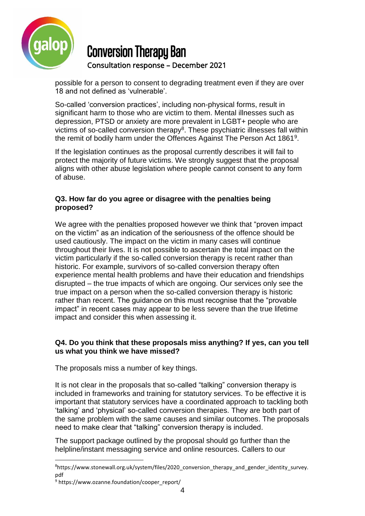

possible for a person to consent to degrading treatment even if they are over 18 and not defined as 'vulnerable'.

So-called 'conversion practices', including non-physical forms, result in significant harm to those who are victim to them. Mental illnesses such as depression, PTSD or anxiety are more prevalent in LGBT+ people who are victims of so-called conversion therapy<sup>8</sup>. These psychiatric illnesses fall within the remit of bodily harm under the Offences Against The Person Act 1861<sup>9</sup>.

If the legislation continues as the proposal currently describes it will fail to protect the majority of future victims. We strongly suggest that the proposal aligns with other abuse legislation where people cannot consent to any form of abuse.

### **Q3. How far do you agree or disagree with the penalties being proposed?**

We agree with the penalties proposed however we think that "proven impact on the victim" as an indication of the seriousness of the offence should be used cautiously. The impact on the victim in many cases will continue throughout their lives. It is not possible to ascertain the total impact on the victim particularly if the so-called conversion therapy is recent rather than historic. For example, survivors of so-called conversion therapy often experience mental health problems and have their education and friendships disrupted – the true impacts of which are ongoing. Our services only see the true impact on a person when the so-called conversion therapy is historic rather than recent. The guidance on this must recognise that the "provable impact" in recent cases may appear to be less severe than the true lifetime impact and consider this when assessing it.

### **Q4. Do you think that these proposals miss anything? If yes, can you tell us what you think we have missed?**

The proposals miss a number of key things.

It is not clear in the proposals that so-called "talking" conversion therapy is included in frameworks and training for statutory services. To be effective it is important that statutory services have a coordinated approach to tackling both 'talking' and 'physical' so-called conversion therapies. They are both part of the same problem with the same causes and similar outcomes. The proposals need to make clear that "talking" conversion therapy is included.

The support package outlined by the proposal should go further than the helpline/instant messaging service and online resources. Callers to our

 $\overline{a}$ 

<sup>&</sup>lt;sup>8</sup>https://www.stonewall.org.uk/system/files/2020 conversion therapy and gender identity survey. pdf

<sup>&</sup>lt;sup>9</sup> https://www.ozanne.foundation/cooper\_report/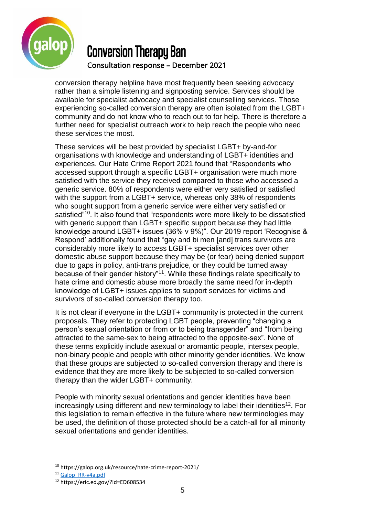

conversion therapy helpline have most frequently been seeking advocacy rather than a simple listening and signposting service. Services should be available for specialist advocacy and specialist counselling services. Those experiencing so-called conversion therapy are often isolated from the LGBT+ community and do not know who to reach out to for help. There is therefore a further need for specialist outreach work to help reach the people who need these services the most.

These services will be best provided by specialist LGBT+ by-and-for organisations with knowledge and understanding of LGBT+ identities and experiences. Our Hate Crime Report 2021 found that "Respondents who accessed support through a specific LGBT+ organisation were much more satisfied with the service they received compared to those who accessed a generic service. 80% of respondents were either very satisfied or satisfied with the support from a LGBT+ service, whereas only 38% of respondents who sought support from a generic service were either very satisfied or satisfied"<sup>10</sup>. It also found that "respondents were more likely to be dissatisfied with generic support than LGBT+ specific support because they had little knowledge around LGBT+ issues (36% v 9%)". Our 2019 report 'Recognise & Respond' additionally found that "gay and bi men [and] trans survivors are considerably more likely to access LGBT+ specialist services over other domestic abuse support because they may be (or fear) being denied support due to gaps in policy, anti-trans prejudice, or they could be turned away because of their gender history"<sup>11</sup>. While these findings relate specifically to hate crime and domestic abuse more broadly the same need for in-depth knowledge of LGBT+ issues applies to support services for victims and survivors of so-called conversion therapy too.

It is not clear if everyone in the LGBT+ community is protected in the current proposals. They refer to protecting LGBT people, preventing "changing a person's sexual orientation or from or to being transgender" and "from being attracted to the same-sex to being attracted to the opposite-sex". None of these terms explicitly include asexual or aromantic people, intersex people, non-binary people and people with other minority gender identities. We know that these groups are subjected to so-called conversion therapy and there is evidence that they are more likely to be subjected to so-called conversion therapy than the wider LGBT+ community.

People with minority sexual orientations and gender identities have been increasingly using different and new terminology to label their identities<sup>12</sup>. For this legislation to remain effective in the future where new terminologies may be used, the definition of those protected should be a catch-all for all minority sexual orientations and gender identities.

 $\overline{a}$ 

<sup>10</sup> https://galop.org.uk/resource/hate-crime-report-2021/

<sup>&</sup>lt;sup>11</sup> Galop RR-v4a.pdf

<sup>12</sup> https://eric.ed.gov/?id=ED608534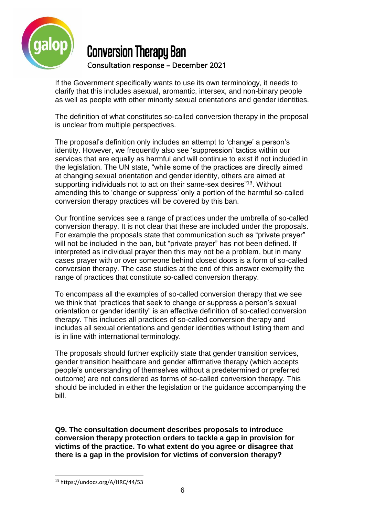

If the Government specifically wants to use its own terminology, it needs to clarify that this includes asexual, aromantic, intersex, and non-binary people as well as people with other minority sexual orientations and gender identities.

The definition of what constitutes so-called conversion therapy in the proposal is unclear from multiple perspectives.

The proposal's definition only includes an attempt to 'change' a person's identity. However, we frequently also see 'suppression' tactics within our services that are equally as harmful and will continue to exist if not included in the legislation. The UN state, "while some of the practices are directly aimed at changing sexual orientation and gender identity, others are aimed at supporting individuals not to act on their same-sex desires"<sup>13</sup>. Without amending this to 'change or suppress' only a portion of the harmful so-called conversion therapy practices will be covered by this ban.

Our frontline services see a range of practices under the umbrella of so-called conversion therapy. It is not clear that these are included under the proposals. For example the proposals state that communication such as "private prayer" will not be included in the ban, but "private prayer" has not been defined. If interpreted as individual prayer then this may not be a problem, but in many cases prayer with or over someone behind closed doors is a form of so-called conversion therapy. The case studies at the end of this answer exemplify the range of practices that constitute so-called conversion therapy.

To encompass all the examples of so-called conversion therapy that we see we think that "practices that seek to change or suppress a person's sexual orientation or gender identity" is an effective definition of so-called conversion therapy. This includes all practices of so-called conversion therapy and includes all sexual orientations and gender identities without listing them and is in line with international terminology.

The proposals should further explicitly state that gender transition services, gender transition healthcare and gender affirmative therapy (which accepts people's understanding of themselves without a predetermined or preferred outcome) are not considered as forms of so-called conversion therapy. This should be included in either the legislation or the guidance accompanying the bill.

**Q9. The consultation document describes proposals to introduce conversion therapy protection orders to tackle a gap in provision for victims of the practice. To what extent do you agree or disagree that there is a gap in the provision for victims of conversion therapy?** 

l

<sup>13</sup> https://undocs.org/A/HRC/44/53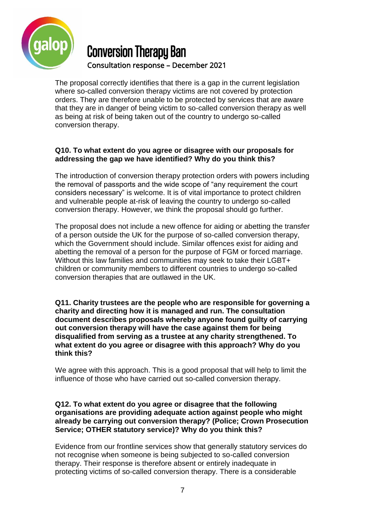

The proposal correctly identifies that there is a gap in the current legislation where so-called conversion therapy victims are not covered by protection orders. They are therefore unable to be protected by services that are aware that they are in danger of being victim to so-called conversion therapy as well as being at risk of being taken out of the country to undergo so-called conversion therapy.

### **Q10. To what extent do you agree or disagree with our proposals for addressing the gap we have identified? Why do you think this?**

The introduction of conversion therapy protection orders with powers including the removal of passports and the wide scope of "any requirement the court considers necessary" is welcome. It is of vital importance to protect children and vulnerable people at-risk of leaving the country to undergo so-called conversion therapy. However, we think the proposal should go further.

The proposal does not include a new offence for aiding or abetting the transfer of a person outside the UK for the purpose of so-called conversion therapy, which the Government should include. Similar offences exist for aiding and abetting the removal of a person for the purpose of FGM or forced marriage. Without this law families and communities may seek to take their LGBT+ children or community members to different countries to undergo so-called conversion therapies that are outlawed in the UK.

**Q11. Charity trustees are the people who are responsible for governing a charity and directing how it is managed and run. The consultation document describes proposals whereby anyone found guilty of carrying out conversion therapy will have the case against them for being disqualified from serving as a trustee at any charity strengthened. To what extent do you agree or disagree with this approach? Why do you think this?**

We agree with this approach. This is a good proposal that will help to limit the influence of those who have carried out so-called conversion therapy.

#### **Q12. To what extent do you agree or disagree that the following organisations are providing adequate action against people who might already be carrying out conversion therapy? (Police; Crown Prosecution Service; OTHER statutory service)? Why do you think this?**

Evidence from our frontline services show that generally statutory services do not recognise when someone is being subjected to so-called conversion therapy. Their response is therefore absent or entirely inadequate in protecting victims of so-called conversion therapy. There is a considerable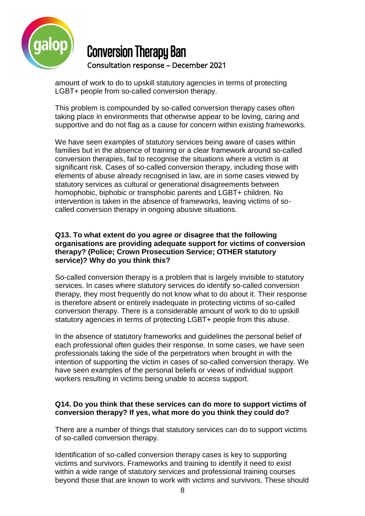

amount of work to do to upskill statutory agencies in terms of protecting LGBT+ people from so-called conversion therapy.

This problem is compounded by so-called conversion therapy cases often taking place in environments that otherwise appear to be loving, caring and supportive and do not flag as a cause for concern within existing frameworks.

We have seen examples of statutory services being aware of cases within families but in the absence of training or a clear framework around so-called conversion therapies, fail to recognise the situations where a victim is at significant risk. Cases of so-called conversion therapy, including those with elements of abuse already recognised in law, are in some cases viewed by statutory services as cultural or generational disagreements between homophobic, biphobic or transphobic parents and LGBT+ children. No intervention is taken in the absence of frameworks, leaving victims of socalled conversion therapy in ongoing abusive situations.

#### **Q13. To what extent do you agree or disagree that the following organisations are providing adequate support for victims of conversion therapy? (Police; Crown Prosecution Service; OTHER statutory service)? Why do you think this?**

So-called conversion therapy is a problem that is largely invisible to statutory services. In cases where statutory services do identify so-called conversion therapy, they most frequently do not know what to do about it. Their response is therefore absent or entirely inadequate in protecting victims of so-called conversion therapy. There is a considerable amount of work to do to upskill statutory agencies in terms of protecting LGBT+ people from this abuse.

In the absence of statutory frameworks and guidelines the personal belief of each professional often guides their response. In some cases, we have seen professionals taking the side of the perpetrators when brought in with the intention of supporting the victim in cases of so-called conversion therapy. We have seen examples of the personal beliefs or views of individual support workers resulting in victims being unable to access support.

### **Q14. Do you think that these services can do more to support victims of conversion therapy? If yes, what more do you think they could do?**

There are a number of things that statutory services can do to support victims of so-called conversion therapy.

Identification of so-called conversion therapy cases is key to supporting victims and survivors. Frameworks and training to identify it need to exist within a wide range of statutory services and professional training courses beyond those that are known to work with victims and survivors. These should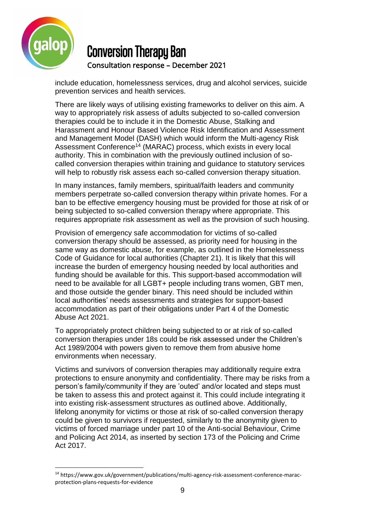

l

# Conversion Therapy Ban Consultation response – December 2021

include education, homelessness services, drug and alcohol services, suicide prevention services and health services.

There are likely ways of utilising existing frameworks to deliver on this aim. A way to appropriately risk assess of adults subjected to so-called conversion therapies could be to include it in the Domestic Abuse, Stalking and Harassment and Honour Based Violence Risk Identification and Assessment and Management Model (DASH) which would inform the Multi-agency Risk Assessment Conference<sup>14</sup> (MARAC) process, which exists in every local authority. This in combination with the previously outlined inclusion of socalled conversion therapies within training and guidance to statutory services will help to robustly risk assess each so-called conversion therapy situation.

In many instances, family members, spiritual/faith leaders and community members perpetrate so-called conversion therapy within private homes. For a ban to be effective emergency housing must be provided for those at risk of or being subjected to so-called conversion therapy where appropriate. This requires appropriate risk assessment as well as the provision of such housing.

Provision of emergency safe accommodation for victims of so-called conversion therapy should be assessed, as priority need for housing in the same way as domestic abuse, for example, as outlined in the Homelessness Code of Guidance for local authorities (Chapter 21). It is likely that this will increase the burden of emergency housing needed by local authorities and funding should be available for this. This support-based accommodation will need to be available for all LGBT+ people including trans women, GBT men, and those outside the gender binary. This need should be included within local authorities' needs assessments and strategies for support-based accommodation as part of their obligations under Part 4 of the Domestic Abuse Act 2021.

To appropriately protect children being subjected to or at risk of so-called conversion therapies under 18s could be risk assessed under the Children's Act 1989/2004 with powers given to remove them from abusive home environments when necessary.

Victims and survivors of conversion therapies may additionally require extra protections to ensure anonymity and confidentiality. There may be risks from a person's family/community if they are 'outed' and/or located and steps must be taken to assess this and protect against it. This could include integrating it into existing risk-assessment structures as outlined above. Additionally, lifelong anonymity for victims or those at risk of so-called conversion therapy could be given to survivors if requested, similarly to the anonymity given to victims of forced marriage under part 10 of the Anti-social Behaviour, Crime and Policing Act 2014, as inserted by section 173 of the Policing and Crime Act 2017.

<sup>14</sup> https://www.gov.uk/government/publications/multi-agency-risk-assessment-conference-maracprotection-plans-requests-for-evidence